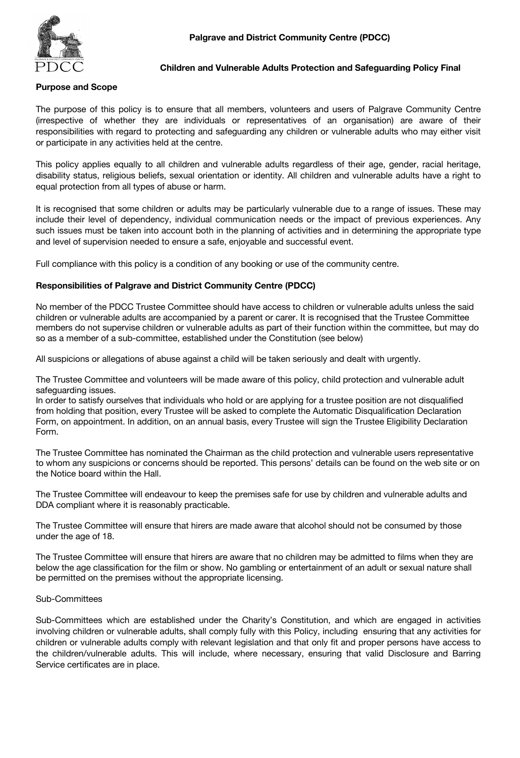

## **Children and Vulnerable Adults Protection and Safeguarding Policy Final**

## **Purpose and Scope**

The purpose of this policy is to ensure that all members, volunteers and users of Palgrave Community Centre (irrespective of whether they are individuals or representatives of an organisation) are aware of their responsibilities with regard to protecting and safeguarding any children or vulnerable adults who may either visit or participate in any activities held at the centre.

This policy applies equally to all children and vulnerable adults regardless of their age, gender, racial heritage, disability status, religious beliefs, sexual orientation or identity. All children and vulnerable adults have a right to equal protection from all types of abuse or harm.

It is recognised that some children or adults may be particularly vulnerable due to a range of issues. These may include their level of dependency, individual communication needs or the impact of previous experiences. Any such issues must be taken into account both in the planning of activities and in determining the appropriate type and level of supervision needed to ensure a safe, enjoyable and successful event.

Full compliance with this policy is a condition of any booking or use of the community centre.

### **Responsibilities of Palgrave and District Community Centre (PDCC)**

No member of the PDCC Trustee Committee should have access to children or vulnerable adults unless the said children or vulnerable adults are accompanied by a parent or carer. It is recognised that the Trustee Committee members do not supervise children or vulnerable adults as part of their function within the committee, but may do so as a member of a sub-committee, established under the Constitution (see below)

All suspicions or allegations of abuse against a child will be taken seriously and dealt with urgently.

The Trustee Committee and volunteers will be made aware of this policy, child protection and vulnerable adult safeguarding issues.

In order to satisfy ourselves that individuals who hold or are applying for a trustee position are not disqualified from holding that position, every Trustee will be asked to complete the Automatic Disqualification Declaration Form, on appointment. In addition, on an annual basis, every Trustee will sign the Trustee Eligibility Declaration Form.

The Trustee Committee has nominated the Chairman as the child protection and vulnerable users representative to whom any suspicions or concerns should be reported. This persons' details can be found on the web site or on the Notice board within the Hall.

The Trustee Committee will endeavour to keep the premises safe for use by children and vulnerable adults and DDA compliant where it is reasonably practicable.

The Trustee Committee will ensure that hirers are made aware that alcohol should not be consumed by those under the age of 18.

The Trustee Committee will ensure that hirers are aware that no children may be admitted to films when they are below the age classification for the film or show. No gambling or entertainment of an adult or sexual nature shall be permitted on the premises without the appropriate licensing.

#### Sub-Committees

Sub-Committees which are established under the Charity's Constitution, and which are engaged in activities involving children or vulnerable adults, shall comply fully with this Policy, including ensuring that any activities for children or vulnerable adults comply with relevant legislation and that only fit and proper persons have access to the children/vulnerable adults. This will include, where necessary, ensuring that valid Disclosure and Barring Service certificates are in place.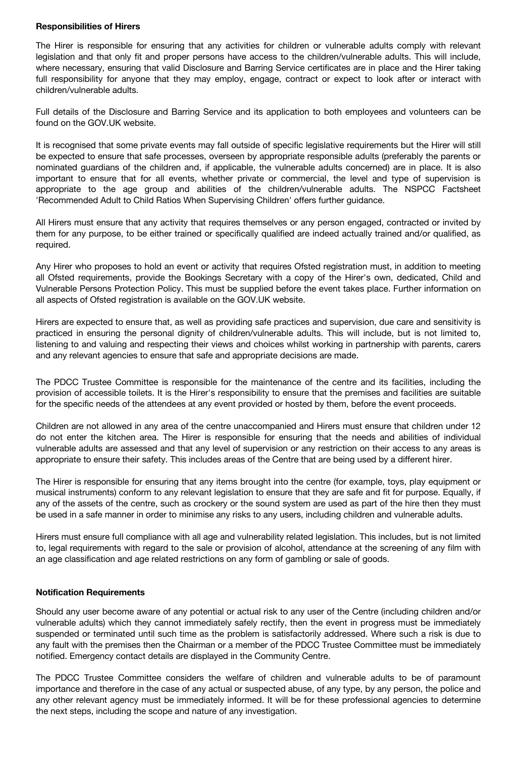### **Responsibilities of Hirers**

The Hirer is responsible for ensuring that any activities for children or vulnerable adults comply with relevant legislation and that only fit and proper persons have access to the children/vulnerable adults. This will include, where necessary, ensuring that valid Disclosure and Barring Service certificates are in place and the Hirer taking full responsibility for anyone that they may employ, engage, contract or expect to look after or interact with children/vulnerable adults.

Full details of the Disclosure and Barring Service and its application to both employees and volunteers can be found on the GOV.UK website.

It is recognised that some private events may fall outside of specific legislative requirements but the Hirer will still be expected to ensure that safe processes, overseen by appropriate responsible adults (preferably the parents or nominated guardians of the children and, if applicable, the vulnerable adults concerned) are in place. It is also important to ensure that for all events, whether private or commercial, the level and type of supervision is appropriate to the age group and abilities of the children/vulnerable adults. The NSPCC Factsheet 'Recommended Adult to Child Ratios When Supervising Children' offers further guidance.

All Hirers must ensure that any activity that requires themselves or any person engaged, contracted or invited by them for any purpose, to be either trained or specifically qualified are indeed actually trained and/or qualified, as required.

Any Hirer who proposes to hold an event or activity that requires Ofsted registration must, in addition to meeting all Ofsted requirements, provide the Bookings Secretary with a copy of the Hirer's own, dedicated, Child and Vulnerable Persons Protection Policy. This must be supplied before the event takes place. Further information on all aspects of Ofsted registration is available on the GOV.UK website.

Hirers are expected to ensure that, as well as providing safe practices and supervision, due care and sensitivity is practiced in ensuring the personal dignity of children/vulnerable adults. This will include, but is not limited to, listening to and valuing and respecting their views and choices whilst working in partnership with parents, carers and any relevant agencies to ensure that safe and appropriate decisions are made.

The PDCC Trustee Committee is responsible for the maintenance of the centre and its facilities, including the provision of accessible toilets. It is the Hirer's responsibility to ensure that the premises and facilities are suitable for the specific needs of the attendees at any event provided or hosted by them, before the event proceeds.

Children are not allowed in any area of the centre unaccompanied and Hirers must ensure that children under 12 do not enter the kitchen area. The Hirer is responsible for ensuring that the needs and abilities of individual vulnerable adults are assessed and that any level of supervision or any restriction on their access to any areas is appropriate to ensure their safety. This includes areas of the Centre that are being used by a different hirer.

The Hirer is responsible for ensuring that any items brought into the centre (for example, toys, play equipment or musical instruments) conform to any relevant legislation to ensure that they are safe and fit for purpose. Equally, if any of the assets of the centre, such as crockery or the sound system are used as part of the hire then they must be used in a safe manner in order to minimise any risks to any users, including children and vulnerable adults.

Hirers must ensure full compliance with all age and vulnerability related legislation. This includes, but is not limited to, legal requirements with regard to the sale or provision of alcohol, attendance at the screening of any film with an age classification and age related restrictions on any form of gambling or sale of goods.

# **Notification Requirements**

Should any user become aware of any potential or actual risk to any user of the Centre (including children and/or vulnerable adults) which they cannot immediately safely rectify, then the event in progress must be immediately suspended or terminated until such time as the problem is satisfactorily addressed. Where such a risk is due to any fault with the premises then the Chairman or a member of the PDCC Trustee Committee must be immediately notified. Emergency contact details are displayed in the Community Centre.

The PDCC Trustee Committee considers the welfare of children and vulnerable adults to be of paramount importance and therefore in the case of any actual or suspected abuse, of any type, by any person, the police and any other relevant agency must be immediately informed. It will be for these professional agencies to determine the next steps, including the scope and nature of any investigation.